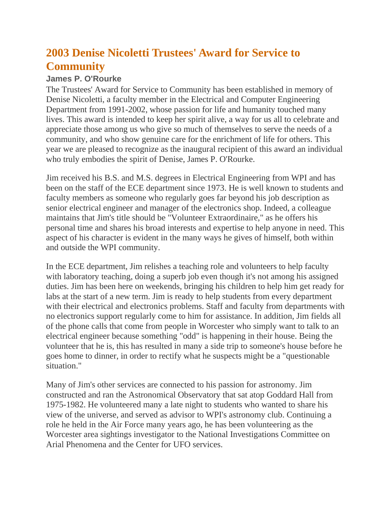## **2003 Denise Nicoletti Trustees' Award for Service to Community**

## **James P. O'Rourke**

The Trustees' Award for Service to Community has been established in memory of Denise Nicoletti, a faculty member in the Electrical and Computer Engineering Department from 1991-2002, whose passion for life and humanity touched many lives. This award is intended to keep her spirit alive, a way for us all to celebrate and appreciate those among us who give so much of themselves to serve the needs of a community, and who show genuine care for the enrichment of life for others. This year we are pleased to recognize as the inaugural recipient of this award an individual who truly embodies the spirit of Denise, James P. O'Rourke.

Jim received his B.S. and M.S. degrees in Electrical Engineering from WPI and has been on the staff of the ECE department since 1973. He is well known to students and faculty members as someone who regularly goes far beyond his job description as senior electrical engineer and manager of the electronics shop. Indeed, a colleague maintains that Jim's title should be "Volunteer Extraordinaire," as he offers his personal time and shares his broad interests and expertise to help anyone in need. This aspect of his character is evident in the many ways he gives of himself, both within and outside the WPI community.

In the ECE department, Jim relishes a teaching role and volunteers to help faculty with laboratory teaching, doing a superb job even though it's not among his assigned duties. Jim has been here on weekends, bringing his children to help him get ready for labs at the start of a new term. Jim is ready to help students from every department with their electrical and electronics problems. Staff and faculty from departments with no electronics support regularly come to him for assistance. In addition, Jim fields all of the phone calls that come from people in Worcester who simply want to talk to an electrical engineer because something "odd" is happening in their house. Being the volunteer that he is, this has resulted in many a side trip to someone's house before he goes home to dinner, in order to rectify what he suspects might be a "questionable situation."

Many of Jim's other services are connected to his passion for astronomy. Jim constructed and ran the Astronomical Observatory that sat atop Goddard Hall from 1975-1982. He volunteered many a late night to students who wanted to share his view of the universe, and served as advisor to WPI's astronomy club. Continuing a role he held in the Air Force many years ago, he has been volunteering as the Worcester area sightings investigator to the National Investigations Committee on Arial Phenomena and the Center for UFO services.